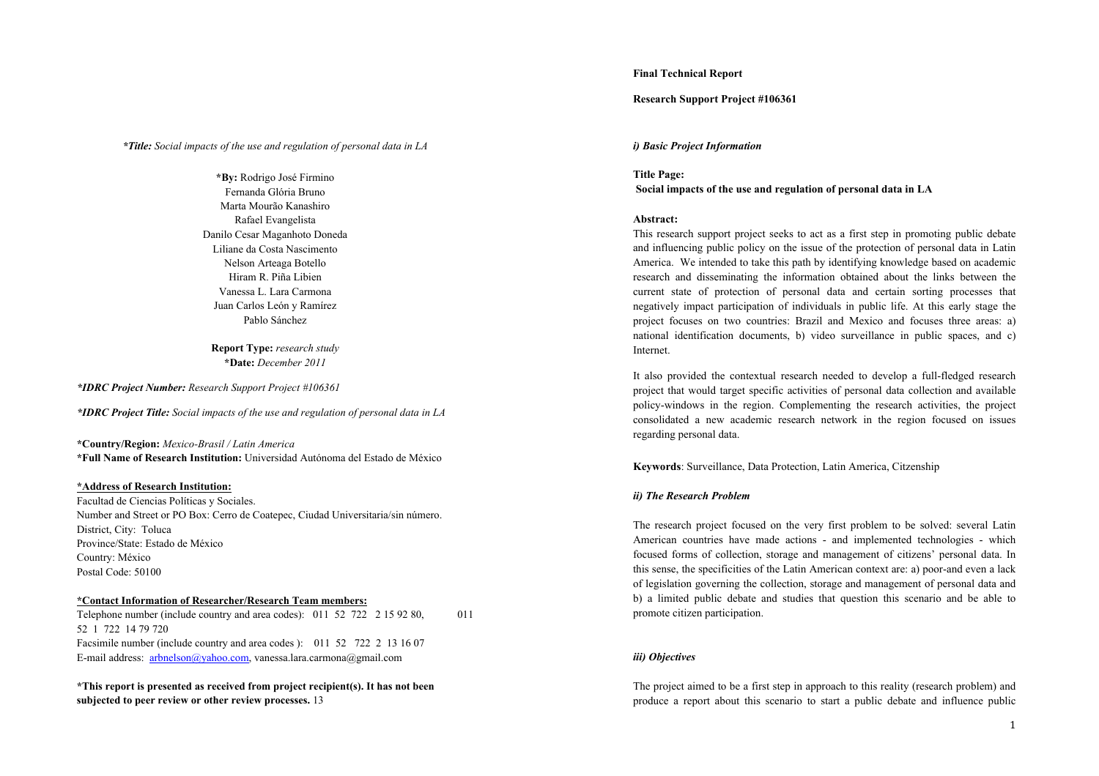## **Final Technical Report**

## **Research Support Project #106361**

## *\*Title: Social impacts of the use and regulation of personal data in LA*

**\*By:** Rodrigo José Firmino Fernanda Glória Bruno Marta Mourão Kanashiro Rafael Evangelista Danilo Cesar Maganhoto Doneda Liliane da Costa Nascimento Nelson Arteaga Botello Hiram R. Piña Libien Vanessa L. Lara Carmona Juan Carlos León y Ramírez Pablo Sánchez

**Report Type:** *research study* **\*Date:** *December 2011*

*\*IDRC Project Number: Research Support Project #106361*

*\*IDRC Project Title: Social impacts of the use and regulation of personal data in LA*

**\*Country/Region:** *Mexico-Brasil / Latin America* **\*Full Name of Research Institution:** Universidad Autónoma del Estado de México

## **\*Address of Research Institution:**

Facultad de Ciencias Políticas y Sociales. Number and Street or PO Box: Cerro de Coatepec, Ciudad Universitaria/sin número. District, City: Toluca Province/State: Estado de México Country: México Postal Code: 50100

# **\*Contact Information of Researcher/Research Team members:**

Telephone number (include country and area codes): 011 52 722 2 15 92 80, 011 52 1 722 14 79 720 Facsimile number (include country and area codes ): 011 52 722 2 13 16 07 E-mail address: arbnelson@yahoo.com, vanessa.lara.carmona@gmail.com

**\*This report is presented as received from project recipient(s). It has not been subjected to peer review or other review processes.** 13

### *i) Basic Project Information*

**Title Page: Social impacts of the use and regulation of personal data in LA**

#### **Abstract:**

This research support project seeks to act as a first step in promoting public debate and influencing public policy on the issue of the protection of personal data in Latin America. We intended to take this path by identifying knowledge based on academic research and disseminating the information obtained about the links between the current state of protection of personal data and certain sorting processes that negatively impact participation of individuals in public life. At this early stage the project focuses on two countries: Brazil and Mexico and focuses three areas: a) national identification documents, b) video surveillance in public spaces, and c) Internet.

It also provided the contextual research needed to develop a full-fledged research project that would target specific activities of personal data collection and available policy-windows in the region. Complementing the research activities, the project consolidated a new academic research network in the region focused on issues regarding personal data.

**Keywords**: Surveillance, Data Protection, Latin America, Citzenship

## *ii) The Research Problem*

The research project focused on the very first problem to be solved: several Latin American countries have made actions - and implemented technologies - which focused forms of collection, storage and management of citizens' personal data. In this sense, the specificities of the Latin American context are: a) poor-and even <sup>a</sup> lack of legislation governing the collection, storage and management of personal data and b) a limited public debate and studies that question this scenario and be able to promote citizen participation.

# *iii) Objectives*

The project aimed to be a first step in approach to this reality (research problem) and produce a report about this scenario to start a public debate and influence public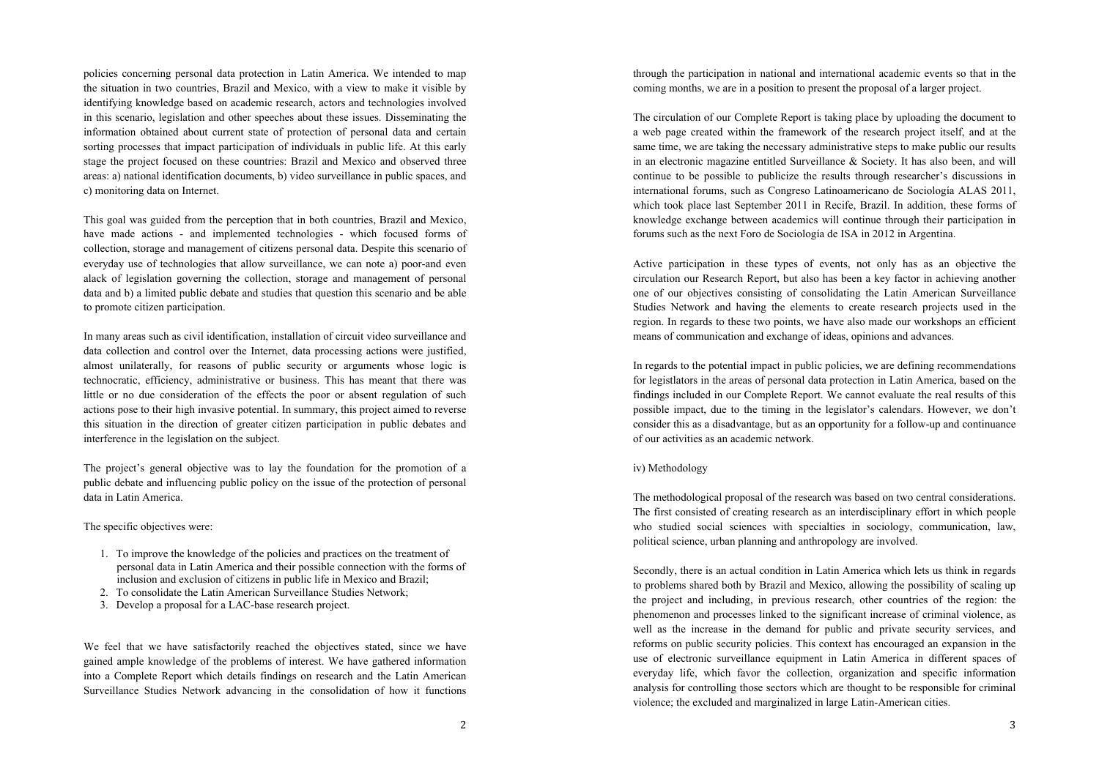policies concerning personal data protection in Latin America. We intended to map the situation in two countries, Brazil and Mexico, with a view to make it visible by identifying knowledge based on academic research, actors and technologies involved in this scenario, legislation and other speeches about these issues. Disseminating the information obtained about current state of protection of personal data and certain sorting processes that impact participation of individuals in public life. At this early stage the project focused on these countries: Brazil and Mexico and observed three areas: a) national identification documents, b) video surveillance in public spaces, and c) monitoring data on Internet.

This goal was guided from the perception that in both countries, Brazil and Mexico, have made actions - and implemented technologies - which focused forms of collection, storage and management of citizens personal data. Despite this scenario of everyday use of technologies that allow surveillance, we can note a) poor-and even alack of legislation governing the collection, storage and management of personal data and b) a limited public debate and studies that question this scenario and be able to promote citizen participation.

In many areas such as civil identification, installation of circuit video surveillance and data collection and control over the Internet, data processing actions were justified, almost unilaterally, for reasons of public security or arguments whose logic is technocratic, efficiency, administrative or business. This has meant that there was little or no due consideration of the effects the poor or absent regulation of such actions pose to their high invasive potential. In summary, this project aimed to reverse this situation in the direction of greater citizen participation in public debates and interference in the legislation on the subject.

The project's general objective was to lay the foundation for the promotion of a public debate and influencing public policy on the issue of the protection of personal data in Latin America.

#### The specific objectives were:

- 1. To improve the knowledge of the policies and practices on the treatment of personal data in Latin America and their possible connection with the forms of inclusion and exclusion of citizens in public life in Mexico and Brazil;
- 2. To consolidate the Latin American Surveillance Studies Network;
- 3. Develop a proposal for a LAC-base research project.

We feel that we have satisfactorily reached the objectives stated, since we have gained ample knowledge of the problems of interest. We have gathered information into a Complete Report which details findings on research and the Latin American Surveillance Studies Network advancing in the consolidation of how it functions

through the participation in national and international academic events so that in the coming months, we are in a position to present the proposal of a larger project.

The circulation of our Complete Report is taking place by uploading the document to a web page created within the framework of the research project itself, and at the same time, we are taking the necessary administrative steps to make public our results in an electronic magazine entitled Surveillance & Society. It has also been, and will continue to be possible to publicize the results through researcher's discussions in international forums, such as Congreso Latinoamericano de Sociología ALAS 2011, which took place last September 2011 in Recife, Brazil. In addition, these forms of knowledge exchange between academics will continue through their participation in forums such as the next Foro de Sociología de ISA in 2012 in Argentina.

Active participation in these types of events, not only has as an objective the circulation our Research Report, but also has been a key factor in achieving another one of our objectives consisting of consolidating the Latin American Surveillance Studies Network and having the elements to create research projects used in the region. In regards to these two points, we have also made our workshops an efficient means of communication and exchange of ideas, opinions and advances.

In regards to the potential impact in public policies, we are defining recommendations for legistlators in the areas of personal data protection in Latin America, based on the findings included in our Complete Report. We cannot evaluate the real results of this possible impact, due to the timing in the legislator's calendars. However, we don't consider this as a disadvantage, but as an opportunity for a follow-up and continuance of our activities as an academic network.

#### iv) Methodology

The methodological proposal of the research was based on two central considerations. The first consisted of creating research as an interdisciplinary effort in which people who studied social sciences with specialties in sociology, communication, law, political science, urban planning and anthropology are involved.

Secondly, there is an actual condition in Latin America which lets us think in regards to problems shared both by Brazil and Mexico, allowing the possibility of scaling up the project and including, in previous research, other countries of the region: the phenomenon and processes linked to the significant increase of criminal violence, as well as the increase in the demand for public and private security services, and reforms on public security policies. This context has encouraged an expansion in the use of electronic surveillance equipment in Latin America in different spaces of everyday life, which favor the collection, organization and specific information analysis for controlling those sectors which are thought to be responsible for criminal violence; the excluded and marginalized in large Latin-American cities.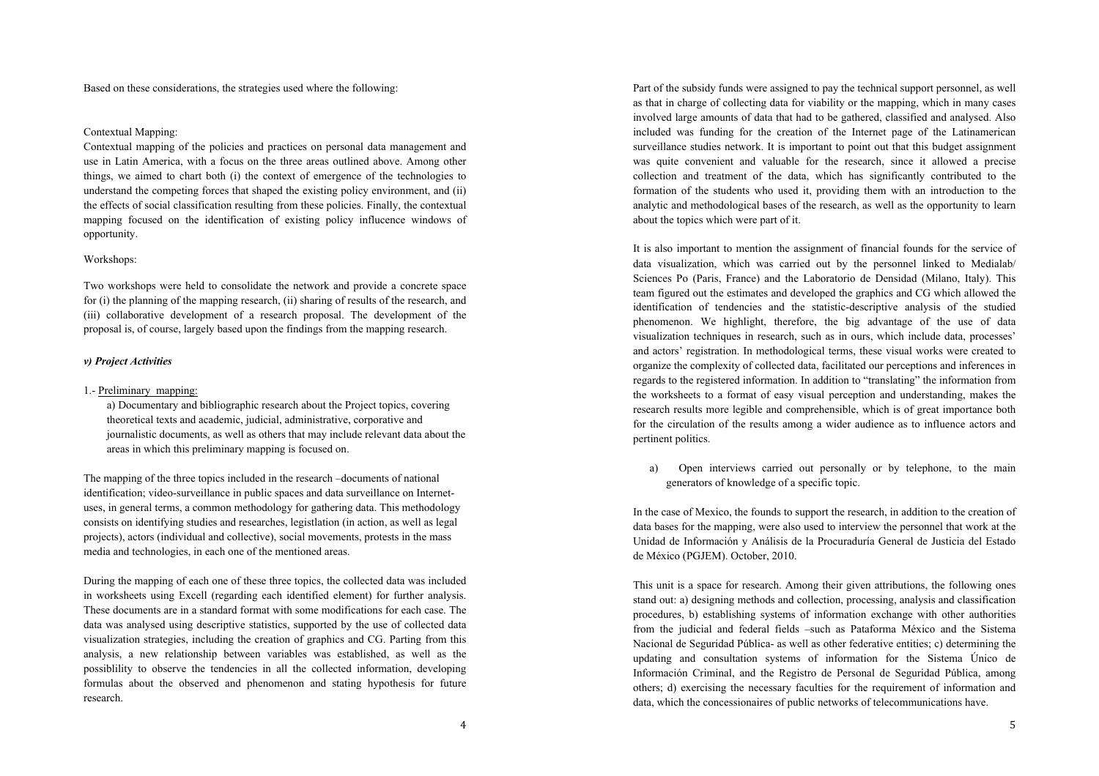Based on these considerations, the strategies used where the following:

# Contextual Mapping:

Contextual mapping of the policies and practices on personal data management and use in Latin America, with a focus on the three areas outlined above. Among other things, we aimed to chart both (i) the context of emergence of the technologies to understand the competing forces that shaped the existing policy environment, and (ii) the effects of social classification resulting from these policies. Finally, the contextual mapping focused on the identification of existing policy influcence windows of opportunity.

## Workshops:

Two workshops were held to consolidate the network and provide a concrete space for (i) the planning of the mapping research, (ii) sharing of results of the research, and (iii) collaborative development of a research proposal. The development of the proposal is, of course, largely based upon the findings from the mapping research.

# *v) Project Activities*

# 1.- Preliminary mapping:

a) Documentary and bibliographic research about the Project topics, covering theoretical texts and academic, judicial, administrative, corporative and journalistic documents, as well as others that may include relevant data about the areas in which this preliminary mapping is focused on.

The mapping of the three topics included in the research –documents of national identification; video-surveillance in public spaces and data surveillance on Internetuses, in general terms, a common methodology for gathering data. This methodology consists on identifying studies and researches, legistlation (in action, as well as legal projects), actors (individual and collective), social movements, protests in the mass media and technologies, in each one of the mentioned areas.

During the mapping of each one of these three topics, the collected data was included in worksheets using Excell (regarding each identified element) for further analysis. These documents are in a standard format with some modifications for each case. The data was analysed using descriptive statistics, supported by the use of collected data visualization strategies, including the creation of graphics and CG. Parting from this analysis, a new relationship between variables was established, as well as the possiblility to observe the tendencies in all the collected information, developing formulas about the observed and phenomenon and stating hypothesis for future research.

Part of the subsidy funds were assigned to pay the technical support personnel, as well as that in charge of collecting data for viability or the mapping, which in many cases involved large amounts of data that had to be gathered, classified and analysed. Also included was funding for the creation of the Internet page of the Latinamerican surveillance studies network. It is important to point out that this budget assignment was quite convenient and valuable for the research, since it allowed a precise collection and treatment of the data, which has significantly contributed to the formation of the students who used it, providing them with an introduction to the analytic and methodological bases of the research, as well as the opportunity to learn about the topics which were part of it.

It is also important to mention the assignment of financial founds for the service of data visualization, which was carried out by the personnel linked to Medialab/ Sciences Po (Paris, France) and the Laboratorio de Densidad (Milano, Italy). This team figured out the estimates and developed the graphics and CG which allowed the identification of tendencies and the statistic-descriptive analysis of the studied phenomenon. We highlight, therefore, the big advantage of the use of data visualization techniques in research, such as in ours, which include data, processes' and actors' registration. In methodological terms, these visual works were created to organize the complexity of collected data, facilitated our perceptions and inferences in regards to the registered information. In addition to "translating" the information from the worksheets to a format of easy visual perception and understanding, makes the research results more legible and comprehensible, which is of great importance both for the circulation of the results among a wider audience as to influence actors and pertinent politics.

a) Open interviews carried out personally or by telephone, to the main generators of knowledge of a specific topic.

In the case of Mexico, the founds to support the research, in addition to the creation of data bases for the mapping, were also used to interview the personnel that work at the Unidad de Información y Análisis de la Procuraduría General de Justicia del Estado de México (PGJEM). October, 2010.

This unit is a space for research. Among their given attributions, the following ones stand out: a) designing methods and collection, processing, analysis and classification procedures, b) establishing systems of information exchange with other authorities from the judicial and federal fields –such as Pataforma México and the Sistema Nacional de Seguridad Pública- as well as other federative entities; c) determining the updating and consultation systems of information for the Sistema Único de Información Criminal, and the Registro de Personal de Seguridad Pública, among others; d) exercising the necessary faculties for the requirement of information and data, which the concessionaires of public networks of telecommunications have.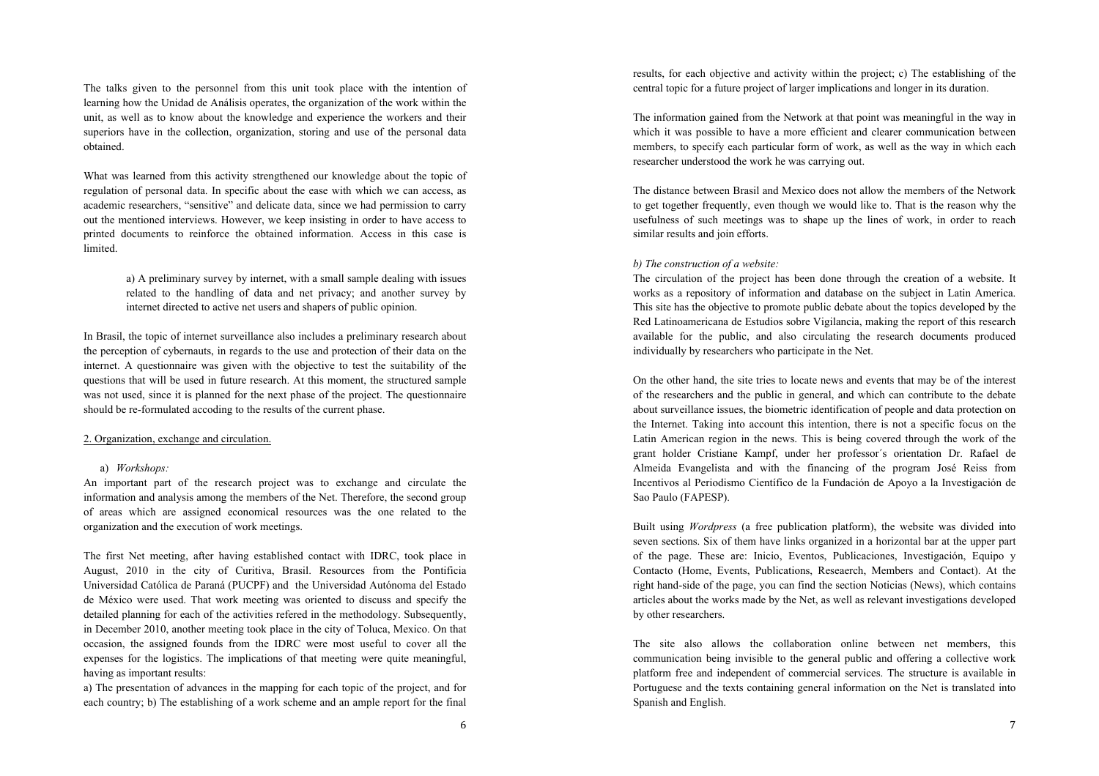The talks given to the personnel from this unit took place with the intention of learning how the Unidad de Análisis operates, the organization of the work within the unit, as well as to know about the knowledge and experience the workers and their superiors have in the collection, organization, storing and use of the personal data obtained.

What was learned from this activity strengthened our knowledge about the topic of regulation of personal data. In specific about the ease with which we can access, as academic researchers, "sensitive" and delicate data, since we had permission to carry out the mentioned interviews. However, we keep insisting in order to have access to printed documents to reinforce the obtained information. Access in this case is limited.

> a) A preliminary survey by internet, with a small sample dealing with issues related to the handling of data and net privacy; and another survey by internet directed to active net users and shapers of public opinion.

In Brasil, the topic of internet surveillance also includes a preliminary research about the perception of cybernauts, in regards to the use and protection of their data on the internet. A questionnaire was given with the objective to test the suitability of the questions that will be used in future research. At this moment, the structured sample was not used, since it is planned for the next phase of the project. The questionnaire should be re-formulated accoding to the results of the current phase.

## 2. Organization, exchange and circulation.

## a) *Workshops:*

An important part of the research project was to exchange and circulate the information and analysis among the members of the Net. Therefore, the second group of areas which are assigned economical resources was the one related to the organization and the execution of work meetings.

The first Net meeting, after having established contact with IDRC, took place in August, 2010 in the city of Curitiva, Brasil. Resources from the Pontificia Universidad Católica de Paraná (PUCPF) and the Universidad Autónoma del Estado de México were used. That work meeting was oriented to discuss and specify the detailed planning for each of the activities refered in the methodology. Subsequently, in December 2010, another meeting took place in the city of Toluca, Mexico. On that occasion, the assigned founds from the IDRC were most useful to cover all the expenses for the logistics. The implications of that meeting were quite meaningful, having as important results:

a) The presentation of advances in the mapping for each topic of the project, and for each country; b) The establishing of a work scheme and an ample report for the final

results, for each objective and activity within the project; c) The establishing of the central topic for a future project of larger implications and longer in its duration.

The information gained from the Network at that point was meaningful in the way in which it was possible to have a more efficient and clearer communication between members, to specify each particular form of work, as well as the way in which each researcher understood the work he was carrying out.

The distance between Brasil and Mexico does not allow the members of the Network to get together frequently, even though we would like to. That is the reason why the usefulness of such meetings was to shape up the lines of work, in order to reach similar results and join efforts.

# *b) The construction of a website:*

The circulation of the project has been done through the creation of a website. It works as a repository of information and database on the subject in Latin America. This site has the objective to promote public debate about the topics developed by the Red Latinoamericana de Estudios sobre Vigilancia, making the report of this research available for the public, and also circulating the research documents produced individually by researchers who participate in the Net.

On the other hand, the site tries to locate news and events that may be of the interest of the researchers and the public in general, and which can contribute to the debate about surveillance issues, the biometric identification of people and data protection on the Internet. Taking into account this intention, there is not a specific focus on the Latin American region in the news. This is being covered through the work of the grant holder Cristiane Kampf, under her professor´s orientation Dr. Rafael de Almeida Evangelista and with the financing of the program José Reiss from Incentivos al Periodismo Científico de la Fundación de Apoyo a la Investigación de Sao Paulo (FAPESP).

Built using *Wordpress* (a free publication platform), the website was divided into seven sections. Six of them have links organized in a horizontal bar at the upper part of the page. These are: Inicio, Eventos, Publicaciones, Investigación, Equipo y Contacto (Home, Events, Publications, Reseaerch, Members and Contact). At the right hand-side of the page, you can find the section Noticias (News), which contains articles about the works made by the Net, as well as relevant investigations developed by other researchers.

The site also allows the collaboration online between net members, this communication being invisible to the general public and offering a collective work platform free and independent of commercial services. The structure is available in Portuguese and the texts containing general information on the Net is translated into Spanish and English.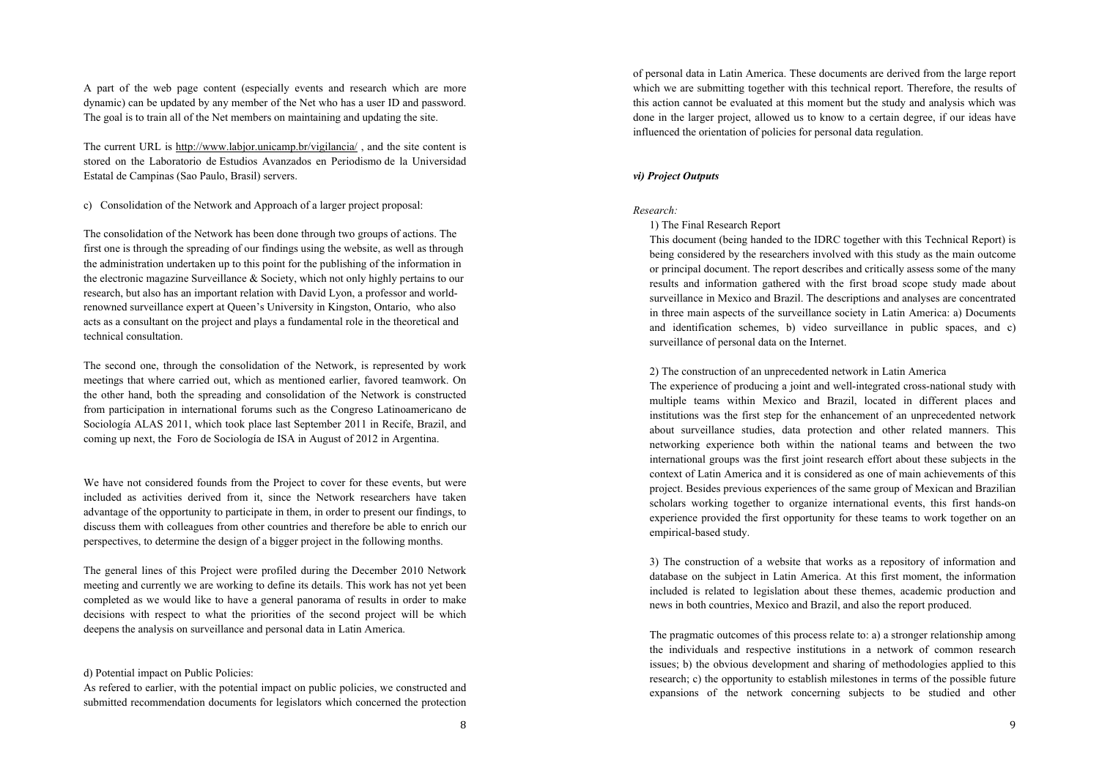A part of the web page content (especially events and research which are more dynamic) can be updated by any member of the Net who has a user ID and password. The goal is to train all of the Net members on maintaining and updating the site.

The current URL is http://www.labjor.unicamp.br/vigilancia/ , and the site content is stored on the Laboratorio de Estudios Avanzados en Periodismo de la Universidad Estatal de Campinas (Sao Paulo, Brasil) servers.

c) Consolidation of the Network and Approach of a larger project proposal:

The consolidation of the Network has been done through two groups of actions. The first one is through the spreading of our findings using the website, as well as through the administration undertaken up to this point for the publishing of the information in the electronic magazine Surveillance & Society, which not only highly pertains to our research, but also has an important relation with David Lyon, a professor and worldrenowned surveillance expert at Queen's University in Kingston, Ontario, who also acts as a consultant on the project and plays a fundamental role in the theoretical and technical consultation.

The second one, through the consolidation of the Network, is represented by work meetings that where carried out, which as mentioned earlier, favored teamwork. On the other hand, both the spreading and consolidation of the Network is constructed from participation in international forums such as the Congreso Latinoamericano de Sociología ALAS 2011, which took place last September 2011 in Recife, Brazil, and coming up next, the Foro de Sociología de ISA in August of 2012 in Argentina.

We have not considered founds from the Project to cover for these events, but were included as activities derived from it, since the Network researchers have taken advantage of the opportunity to participate in them, in order to present our findings, to discuss them with colleagues from other countries and therefore be able to enrich our perspectives, to determine the design of a bigger project in the following months.

The general lines of this Project were profiled during the December 2010 Network meeting and currently we are working to define its details. This work has not yet been completed as we would like to have a general panorama of results in order to make decisions with respect to what the priorities of the second project will be which deepens the analysis on surveillance and personal data in Latin America.

## d) Potential impact on Public Policies:

As refered to earlier, with the potential impact on public policies, we constructed and submitted recommendation documents for legislators which concerned the protection of personal data in Latin America. These documents are derived from the large report which we are submitting together with this technical report. Therefore, the results of this action cannot be evaluated at this moment but the study and analysis which was done in the larger project, allowed us to know to a certain degree, if our ideas have influenced the orientation of policies for personal data regulation.

# *vi) Project Outputs*

### *Research:*

#### 1) The Final Research Report

This document (being handed to the IDRC together with this Technical Report) is being considered by the researchers involved with this study as the main outcome or principal document. The report describes and critically assess some of the many results and information gathered with the first broad scope study made about surveillance in Mexico and Brazil. The descriptions and analyses are concentrated in three main aspects of the surveillance society in Latin America: a) Documents and identification schemes, b) video surveillance in public spaces, and c) surveillance of personal data on the Internet.

#### 2) The construction of an unprecedented network in Latin America

The experience of producing a joint and well-integrated cross-national study with multiple teams within Mexico and Brazil, located in different places and institutions was the first step for the enhancement of an unprecedented network about surveillance studies, data protection and other related manners. This networking experience both within the national teams and between the two international groups was the first joint research effort about these subjects in the context of Latin America and it is considered as one of main achievements of this project. Besides previous experiences of the same group of Mexican and Brazilian scholars working together to organize international events, this first hands-on experience provided the first opportunity for these teams to work together on an empirical-based study.

3) The construction of a website that works as a repository of information and database on the subject in Latin America. At this first moment, the information included is related to legislation about these themes, academic production and news in both countries, Mexico and Brazil, and also the report produced.

The pragmatic outcomes of this process relate to: a) a stronger relationship among the individuals and respective institutions in a network of common research issues; b) the obvious development and sharing of methodologies applied to this research; c) the opportunity to establish milestones in terms of the possible future expansions of the network concerning subjects to be studied and other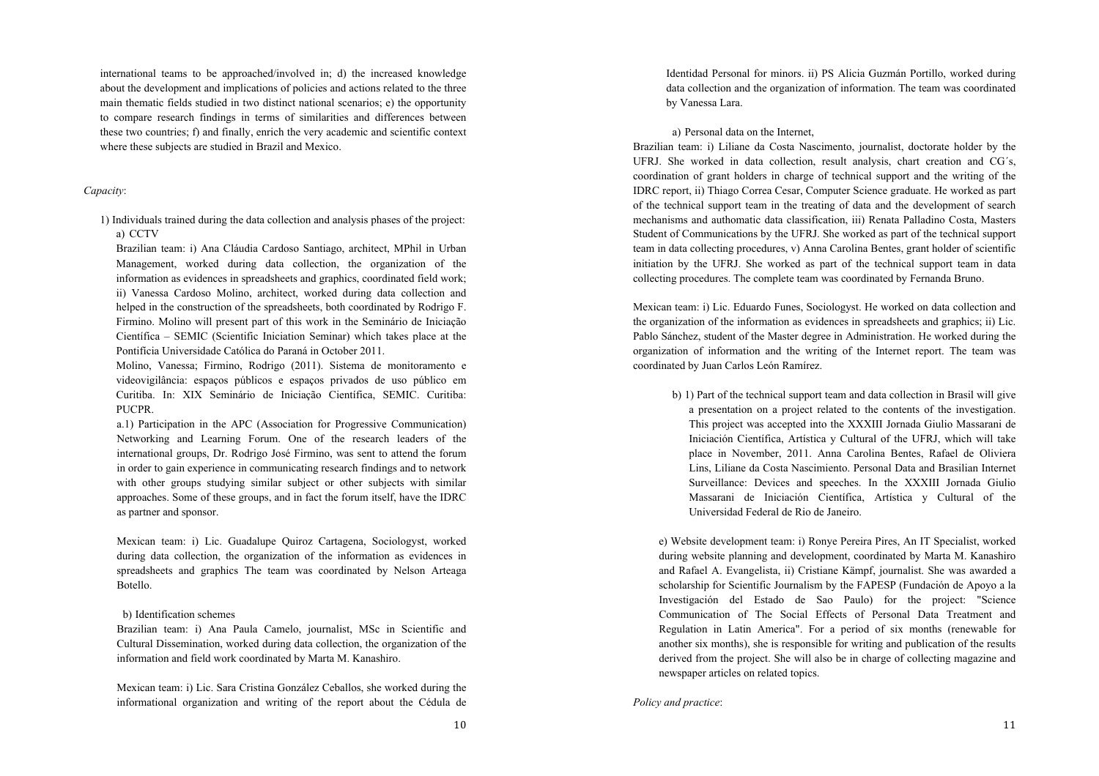international teams to be approached/involved in; d) the increased knowledge about the development and implications of policies and actions related to the three main thematic fields studied in two distinct national scenarios; e) the opportunity to compare research findings in terms of similarities and differences between these two countries; f) and finally, enrich the very academic and scientific context where these subjects are studied in Brazil and Mexico.

#### *Capacity*:

1) Individuals trained during the data collection and analysis phases of the project: a) CCTV

Brazilian team: i) Ana Cláudia Cardoso Santiago, architect, MPhil in Urban Management, worked during data collection, the organization of the information as evidences in spreadsheets and graphics, coordinated field work; ii) Vanessa Cardoso Molino, architect, worked during data collection and helped in the construction of the spreadsheets, both coordinated by Rodrigo F. Firmino. Molino will present part of this work in the Seminário de Iniciação Científica – SEMIC (Scientific Iniciation Seminar) which takes place at the Pontifícia Universidade Católica do Paraná in October 2011.

Molino, Vanessa; Firmino, Rodrigo (2011). Sistema de monitoramento e videovigilância: espaços públicos e espaços privados de uso público em Curitiba. In: XIX Seminário de Iniciação Científica, SEMIC. Curitiba: PUCPR.

a.1) Participation in the APC (Association for Progressive Communication) Networking and Learning Forum. One of the research leaders of the international groups, Dr. Rodrigo José Firmino, was sent to attend the forum in order to gain experience in communicating research findings and to network with other groups studying similar subject or other subjects with similar approaches. Some of these groups, and in fact the forum itself, have the IDRC as partner and sponsor.

Mexican team: i) Lic. Guadalupe Quiroz Cartagena, Sociologyst, worked during data collection, the organization of the information as evidences in spreadsheets and graphics The team was coordinated by Nelson Arteaga Botello.

## b) Identification schemes

Brazilian team: i) Ana Paula Camelo, journalist, MSc in Scientific and Cultural Dissemination, worked during data collection, the organization of the information and field work coordinated by Marta M. Kanashiro.

Mexican team: i) Lic. Sara Cristina González Ceballos, she worked during the informational organization and writing of the report about the Cédula de Identidad Personal for minors. ii) PS Alicia Guzmán Portillo, worked during data collection and the organization of information. The team was coordinated by Vanessa Lara.

a) Personal data on the Internet,

Brazilian team: i) Liliane da Costa Nascimento, journalist, doctorate holder by the UFRJ. She worked in data collection, result analysis, chart creation and CG´s, coordination of grant holders in charge of technical support and the writing of the IDRC report, ii) Thiago Correa Cesar, Computer Science graduate. He worked as part of the technical support team in the treating of data and the development of search mechanisms and authomatic data classification, iii) Renata Palladino Costa, Masters Student of Communications by the UFRJ. She worked as part of the technical support team in data collecting procedures, v) Anna Carolina Bentes, grant holder of scientific initiation by the UFRJ. She worked as part of the technical support team in data collecting procedures. The complete team was coordinated by Fernanda Bruno.

Mexican team: i) Lic. Eduardo Funes, Sociologyst. He worked on data collection and the organization of the information as evidences in spreadsheets and graphics; ii) Lic. Pablo Sánchez, student of the Master degree in Administration. He worked during the organization of information and the writing of the Internet report. The team was coordinated by Juan Carlos León Ramírez.

> b) 1) Part of the technical support team and data collection in Brasil will give a presentation on a project related to the contents of the investigation. This project was accepted into the XXXIII Jornada Giulio Massarani de Iniciación Científica, Artística y Cultural of the UFRJ, which will take place in November, 2011. Anna Carolina Bentes, Rafael de Oliviera Lins, Liliane da Costa Nascimiento. Personal Data and Brasilian Internet Surveillance: Devices and speeches. In the XXXIII Jornada Giulio Massarani de Iniciación Científica, Artística y Cultural of the Universidad Federal de Rio de Janeiro.

e) Website development team: i) Ronye Pereira Pires, An IT Specialist, worked during website planning and development, coordinated by Marta M. Kanashiro and Rafael A. Evangelista, ii) Cristiane Kämpf, journalist. She was awarded a scholarship for Scientific Journalism by the FAPESP (Fundación de Apoyo a la Investigación del Estado de Sao Paulo) for the project: "Science Communication of The Social Effects of Personal Data Treatment and Regulation in Latin America". For a period of six months (renewable for another six months), she is responsible for writing and publication of the results derived from the project. She will also be in charge of collecting magazine and newspaper articles on related topics.

*Policy and practice*: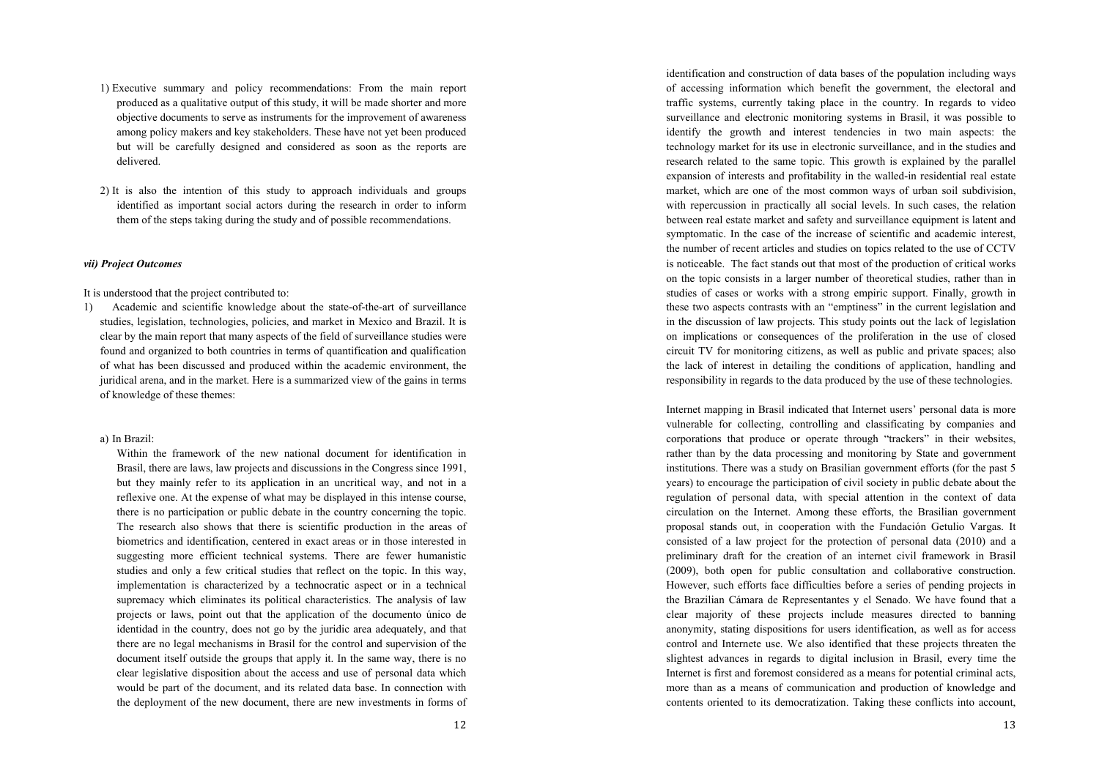- 1) Executive summary and policy recommendations: From the main report produced as a qualitative output of this study, it will be made shorter and more objective documents to serve as instruments for the improvement of awareness among policy makers and key stakeholders. These have not yet been produced but will be carefully designed and considered as soon as the reports are delivered.
- 2) It is also the intention of this study to approach individuals and groups identified as important social actors during the research in order to inform them of the steps taking during the study and of possible recommendations.

# *vii) Project Outcomes*

It is understood that the project contributed to:

1) Academic and scientific knowledge about the state-of-the-art of surveillance studies, legislation, technologies, policies, and market in Mexico and Brazil. It is clear by the main report that many aspects of the field of surveillance studies were found and organized to both countries in terms of quantification and qualification of what has been discussed and produced within the academic environment, the juridical arena, and in the market. Here is a summarized view of the gains in terms of knowledge of these themes:

# a) In Brazil:

Within the framework of the new national document for identification in Brasil, there are laws, law projects and discussions in the Congress since 1991, but they mainly refer to its application in an uncritical way, and not in a reflexive one. At the expense of what may be displayed in this intense course, there is no participation or public debate in the country concerning the topic. The research also shows that there is scientific production in the areas of biometrics and identification, centered in exact areas or in those interested in suggesting more efficient technical systems. There are fewer humanistic studies and only a few critical studies that reflect on the topic. In this way, implementation is characterized by a technocratic aspect or in a technical supremacy which eliminates its political characteristics. The analysis of law projects or laws, point out that the application of the documento único de identidad in the country, does not go by the juridic area adequately, and that there are no legal mechanisms in Brasil for the control and supervision of the document itself outside the groups that apply it. In the same way, there is no clear legislative disposition about the access and use of personal data which would be part of the document, and its related data base. In connection with the deployment of the new document, there are new investments in forms of identification and construction of data bases of the population including ways of accessing information which benefit the government, the electoral and traffic systems, currently taking place in the country. In regards to video surveillance and electronic monitoring systems in Brasil, it was possible to identify the growth and interest tendencies in two main aspects: the technology market for its use in electronic surveillance, and in the studies and research related to the same topic. This growth is explained by the parallel expansion of interests and profitability in the walled-in residential real estate market, which are one of the most common ways of urban soil subdivision, with repercussion in practically all social levels. In such cases, the relation between real estate market and safety and surveillance equipment is latent and symptomatic. In the case of the increase of scientific and academic interest, the number of recent articles and studies on topics related to the use of CCTV is noticeable. The fact stands out that most of the production of critical works on the topic consists in a larger number of theoretical studies, rather than in studies of cases or works with a strong empiric support. Finally, growth in these two aspects contrasts with an "emptiness" in the current legislation and in the discussion of law projects. This study points out the lack of legislation on implications or consequences of the proliferation in the use of closed circuit TV for monitoring citizens, as well as public and private spaces; also the lack of interest in detailing the conditions of application, handling and responsibility in regards to the data produced by the use of these technologies.

Internet mapping in Brasil indicated that Internet users' personal data is more vulnerable for collecting, controlling and classificating by companies and corporations that produce or operate through "trackers" in their websites, rather than by the data processing and monitoring by State and government institutions. There was a study on Brasilian government efforts (for the past 5 years) to encourage the participation of civil society in public debate about the regulation of personal data, with special attention in the context of data circulation on the Internet. Among these efforts, the Brasilian government proposal stands out, in cooperation with the Fundación Getulio Vargas. It consisted of a law project for the protection of personal data (2010) and a preliminary draft for the creation of an internet civil framework in Brasil (2009), both open for public consultation and collaborative construction. However, such efforts face difficulties before a series of pending projects in the Brazilian Cámara de Representantes y el Senado. We have found that a clear majority of these projects include measures directed to banning anonymity, stating dispositions for users identification, as well as for access control and Internete use. We also identified that these projects threaten the slightest advances in regards to digital inclusion in Brasil, every time the Internet is first and foremost considered as a means for potential criminal acts, more than as a means of communication and production of knowledge and contents oriented to its democratization. Taking these conflicts into account,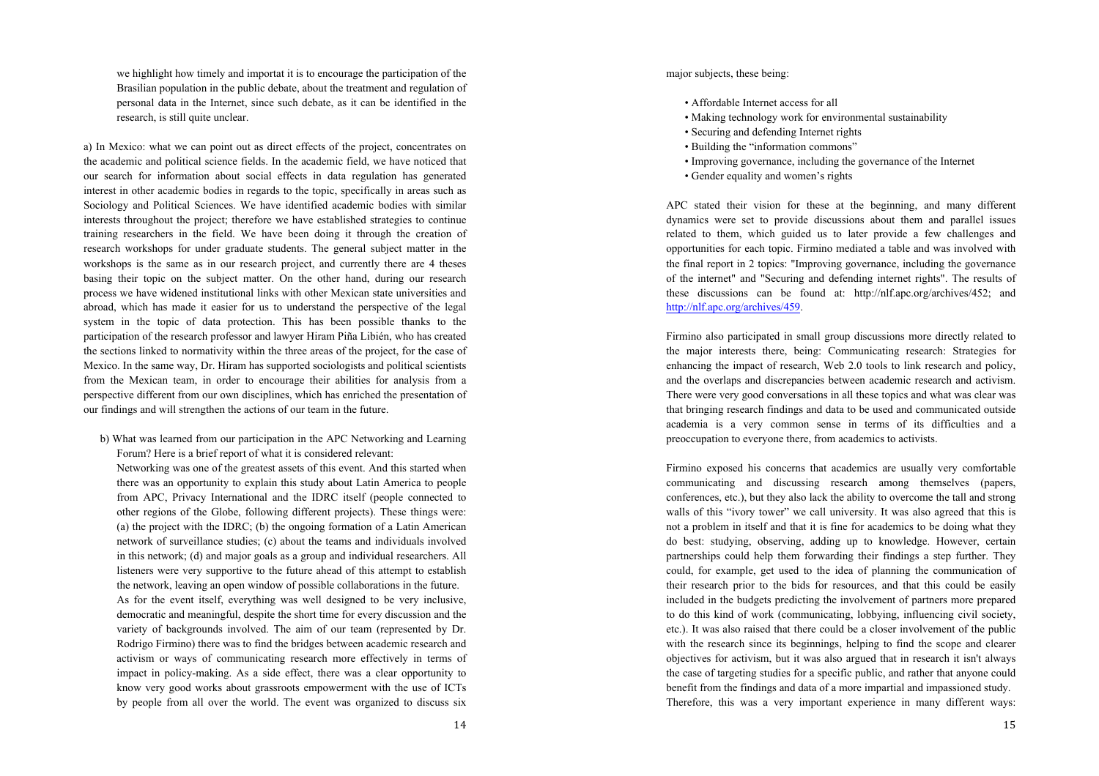we highlight how timely and importat it is to encourage the participation of the Brasilian population in the public debate, about the treatment and regulation of personal data in the Internet, since such debate, as it can be identified in the research, is still quite unclear.

a) In Mexico: what we can point out as direct effects of the project, concentrates on the academic and political science fields. In the academic field, we have noticed that our search for information about social effects in data regulation has generated interest in other academic bodies in regards to the topic, specifically in areas such as Sociology and Political Sciences. We have identified academic bodies with similar interests throughout the project; therefore we have established strategies to continue training researchers in the field. We have been doing it through the creation of research workshops for under graduate students. The general subject matter in the workshops is the same as in our research project, and currently there are 4 theses basing their topic on the subject matter. On the other hand, during our research process we have widened institutional links with other Mexican state universities and abroad, which has made it easier for us to understand the perspective of the legal system in the topic of data protection. This has been possible thanks to the participation of the research professor and lawyer Hiram Piña Libién, who has created the sections linked to normativity within the three areas of the project, for the case of Mexico. In the same way, Dr. Hiram has supported sociologists and political scientists from the Mexican team, in order to encourage their abilities for analysis from a perspective different from our own disciplines, which has enriched the presentation of our findings and will strengthen the actions of our team in the future.

b) What was learned from our participation in the APC Networking and Learning Forum? Here is a brief report of what it is considered relevant:

Networking was one of the greatest assets of this event. And this started when there was an opportunity to explain this study about Latin America to people from APC, Privacy International and the IDRC itself (people connected to other regions of the Globe, following different projects). These things were: (a) the project with the IDRC; (b) the ongoing formation of a Latin American network of surveillance studies; (c) about the teams and individuals involved in this network; (d) and major goals as a group and individual researchers. All listeners were very supportive to the future ahead of this attempt to establish the network, leaving an open window of possible collaborations in the future. As for the event itself, everything was well designed to be very inclusive, democratic and meaningful, despite the short time for every discussion and the variety of backgrounds involved. The aim of our team (represented by Dr. Rodrigo Firmino) there was to find the bridges between academic research and activism or ways of communicating research more effectively in terms of impact in policy-making. As a side effect, there was a clear opportunity to know very good works about grassroots empowerment with the use of ICTs by people from all over the world. The event was organized to discuss six major subjects, these being:

- Affordable Internet access for all
- Making technology work for environmental sustainability
- Securing and defending Internet rights
- Building the "information commons"
- Improving governance, including the governance of the Internet
- Gender equality and women's rights

APC stated their vision for these at the beginning, and many different dynamics were set to provide discussions about them and parallel issues related to them, which guided us to later provide a few challenges and opportunities for each topic. Firmino mediated a table and was involved with the final report in 2 topics: "Improving governance, including the governance of the internet" and "Securing and defending internet rights". The results of these discussions can be found at: http://nlf.apc.org/archives/452; and http://nlf.apc.org/archives/459.

Firmino also participated in small group discussions more directly related to the major interests there, being: Communicating research: Strategies for enhancing the impact of research, Web 2.0 tools to link research and policy, and the overlaps and discrepancies between academic research and activism. There were very good conversations in all these topics and what was clear was that bringing research findings and data to be used and communicated outside academia is a very common sense in terms of its difficulties and a preoccupation to everyone there, from academics to activists.

Firmino exposed his concerns that academics are usually very comfortable communicating and discussing research among themselves (papers, conferences, etc.), but they also lack the ability to overcome the tall and strong walls of this "ivory tower" we call university. It was also agreed that this is not a problem in itself and that it is fine for academics to be doing what they do best: studying, observing, adding up to knowledge. However, certain partnerships could help them forwarding their findings a step further. They could, for example, get used to the idea of planning the communication of their research prior to the bids for resources, and that this could be easily included in the budgets predicting the involvement of partners more prepared to do this kind of work (communicating, lobbying, influencing civil society, etc.). It was also raised that there could be a closer involvement of the public with the research since its beginnings, helping to find the scope and clearer objectives for activism, but it was also argued that in research it isn't always the case of targeting studies for a specific public, and rather that anyone could benefit from the findings and data of a more impartial and impassioned study. Therefore, this was a very important experience in many different ways: